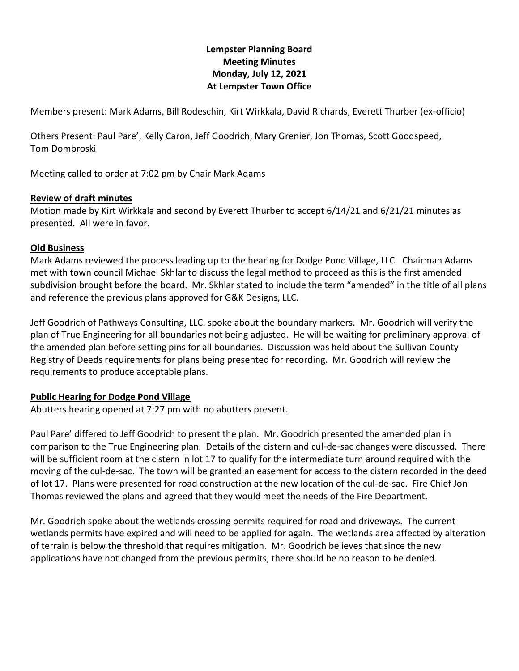# **Lempster Planning Board Meeting Minutes Monday, July 12, 2021 At Lempster Town Office**

Members present: Mark Adams, Bill Rodeschin, Kirt Wirkkala, David Richards, Everett Thurber (ex-officio)

Others Present: Paul Pare', Kelly Caron, Jeff Goodrich, Mary Grenier, Jon Thomas, Scott Goodspeed, Tom Dombroski

Meeting called to order at 7:02 pm by Chair Mark Adams

### **Review of draft minutes**

Motion made by Kirt Wirkkala and second by Everett Thurber to accept 6/14/21 and 6/21/21 minutes as presented. All were in favor.

### **Old Business**

Mark Adams reviewed the process leading up to the hearing for Dodge Pond Village, LLC. Chairman Adams met with town council Michael Skhlar to discuss the legal method to proceed as this is the first amended subdivision brought before the board. Mr. Skhlar stated to include the term "amended" in the title of all plans and reference the previous plans approved for G&K Designs, LLC.

Jeff Goodrich of Pathways Consulting, LLC. spoke about the boundary markers. Mr. Goodrich will verify the plan of True Engineering for all boundaries not being adjusted. He will be waiting for preliminary approval of the amended plan before setting pins for all boundaries. Discussion was held about the Sullivan County Registry of Deeds requirements for plans being presented for recording. Mr. Goodrich will review the requirements to produce acceptable plans.

#### **Public Hearing for Dodge Pond Village**

Abutters hearing opened at 7:27 pm with no abutters present.

Paul Pare' differed to Jeff Goodrich to present the plan. Mr. Goodrich presented the amended plan in comparison to the True Engineering plan. Details of the cistern and cul-de-sac changes were discussed. There will be sufficient room at the cistern in lot 17 to qualify for the intermediate turn around required with the moving of the cul-de-sac. The town will be granted an easement for access to the cistern recorded in the deed of lot 17. Plans were presented for road construction at the new location of the cul-de-sac. Fire Chief Jon Thomas reviewed the plans and agreed that they would meet the needs of the Fire Department.

Mr. Goodrich spoke about the wetlands crossing permits required for road and driveways. The current wetlands permits have expired and will need to be applied for again. The wetlands area affected by alteration of terrain is below the threshold that requires mitigation. Mr. Goodrich believes that since the new applications have not changed from the previous permits, there should be no reason to be denied.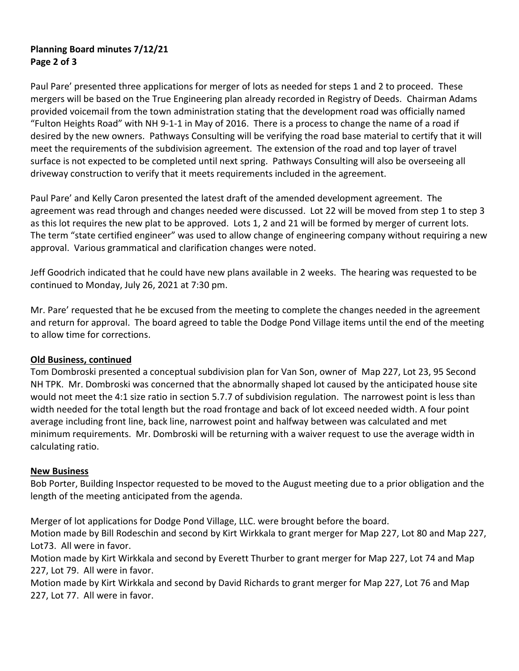## **Planning Board minutes 7/12/21 Page 2 of 3**

Paul Pare' presented three applications for merger of lots as needed for steps 1 and 2 to proceed. These mergers will be based on the True Engineering plan already recorded in Registry of Deeds. Chairman Adams provided voicemail from the town administration stating that the development road was officially named "Fulton Heights Road" with NH 9-1-1 in May of 2016. There is a process to change the name of a road if desired by the new owners. Pathways Consulting will be verifying the road base material to certify that it will meet the requirements of the subdivision agreement. The extension of the road and top layer of travel surface is not expected to be completed until next spring. Pathways Consulting will also be overseeing all driveway construction to verify that it meets requirements included in the agreement.

Paul Pare' and Kelly Caron presented the latest draft of the amended development agreement. The agreement was read through and changes needed were discussed. Lot 22 will be moved from step 1 to step 3 as this lot requires the new plat to be approved. Lots 1, 2 and 21 will be formed by merger of current lots. The term "state certified engineer" was used to allow change of engineering company without requiring a new approval. Various grammatical and clarification changes were noted.

Jeff Goodrich indicated that he could have new plans available in 2 weeks. The hearing was requested to be continued to Monday, July 26, 2021 at 7:30 pm.

Mr. Pare' requested that he be excused from the meeting to complete the changes needed in the agreement and return for approval. The board agreed to table the Dodge Pond Village items until the end of the meeting to allow time for corrections.

## **Old Business, continued**

Tom Dombroski presented a conceptual subdivision plan for Van Son, owner of Map 227, Lot 23, 95 Second NH TPK. Mr. Dombroski was concerned that the abnormally shaped lot caused by the anticipated house site would not meet the 4:1 size ratio in section 5.7.7 of subdivision regulation. The narrowest point is less than width needed for the total length but the road frontage and back of lot exceed needed width. A four point average including front line, back line, narrowest point and halfway between was calculated and met minimum requirements. Mr. Dombroski will be returning with a waiver request to use the average width in calculating ratio.

#### **New Business**

Bob Porter, Building Inspector requested to be moved to the August meeting due to a prior obligation and the length of the meeting anticipated from the agenda.

Merger of lot applications for Dodge Pond Village, LLC. were brought before the board.

Motion made by Bill Rodeschin and second by Kirt Wirkkala to grant merger for Map 227, Lot 80 and Map 227, Lot73. All were in favor.

Motion made by Kirt Wirkkala and second by Everett Thurber to grant merger for Map 227, Lot 74 and Map 227, Lot 79. All were in favor.

Motion made by Kirt Wirkkala and second by David Richards to grant merger for Map 227, Lot 76 and Map 227, Lot 77. All were in favor.